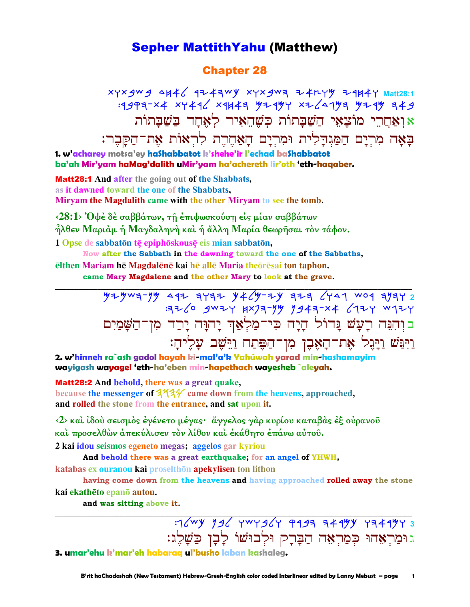### **Sepher MattithYahu (Matthew)**

### **Chapter 28**

xyxgwg 4H46 924=WY xyxgwa 24HYY 29H4Y Matt28:1  $19997-x4$  xy 496 x 9443 4294 x 26143 4294 449 אואַחֲרֵי מוֹצַאֵי הַשַּׁבַּתוֹת כִּשֶׁהֵאִיר לְאָחַד בַּשַּׁבַתוֹת בַאֲה מִרְיָם הַמַּגִדַלִית וּמִרְיָם הָאַחֵרֵת לְרְאוֹת אֶת־הַקָּבֶר:

1. w'acharey motsa'ey haShabbatot k'shehe'ir l'echad baShabbatot ba'ah Mir'yam haMag'dalith uMir'yam ha'achereth lir'oth 'eth-haqaber.

**Matt28:1** And after the going out of the Shabbats, as it dawned toward the one of the Shabbats, Miryam the Magdalith came with the other Miryam to see the tomb.

 $\langle 28:1 \rangle$  Όψέ δέ σαββάτων, τη έπιφωσκούση είς μίαν σαββάτων ήλθεν Μαριάμ ή Μαγδαληνή και ή άλλη Μαρία θεωρήσαι τον τάφον.

1 Opse de sabbatōn tē epiphōskousē eis mian sabbatōn,

Now after the Sabbath in the dawning toward the one of the Sabbaths, ēlthen Mariam hē Magdalēnē kai hē allē Maria theoresai ton taphon.

came Mary Magdalene and the other Mary to look at the grave.

 $72$   $-79$   $-19$   $-19$   $-11$   $-11$   $-11$   $-11$   $-11$   $-11$   $-11$   $-11$   $-11$   $-11$   $-11$   $-11$   $-11$ 326 gwzy HX73-74 9943-X4 6724 W724 בּוְהִנֵּה רָעָשׁ נֲדוֹל הָיָה כִּי־מַלְאַן יָהוָּה יָרַד מִן־הַשָּׁמַיִם וַיִּגַּשׁ וַיַּגֵל אֶת־הָאָבֶן מִן־הַפֵּתַח וַיֵּשֶׁב עָלֵיהָ:

2. w'hinneh ra`ash gadol hayah ki-mal'a'k Yahúwah yarad min-hashamayim wayigash wayagel 'eth-ha'eben min-hapethach wayesheb `aleyah.

**Matt28:2** And behold, there was a great quake, because the messenger of  $344$  came down from the heavens, approached, and rolled the stone from the entrance, and sat upon it.

<2> και ίδου σεισμός έγένετο μέγας· άγγελος γαρ κυρίου καταβάς έξ ούρανου καὶ προσελθών ἀπεκύλισεν τὸν λίθον καὶ ἐκάθητο ἐπάνω αὐτοῦ.

2 kai idou seismos egeneto megas; aggelos gar kyriou

And behold there was a great earthquake; for an angel of YHWH,

katabas ex ouranou kai proselthōn apekylisen ton lithon

having come down from the heavens and having approached rolled away the stone kai ekathēto epanō autou.

and was sitting above it.

 $72^{wy}$   $996$  twrg $64$   $9993$  3494 Y349473 גוּמַרְאָהוּ כִּמַרְאָה הַבָּרַק וּלְבוּשׁוֹ לַבָן כַּשָׁלֵג:

3. umar'ehu k'mar'eh habarag ul'busho laban kashaleg.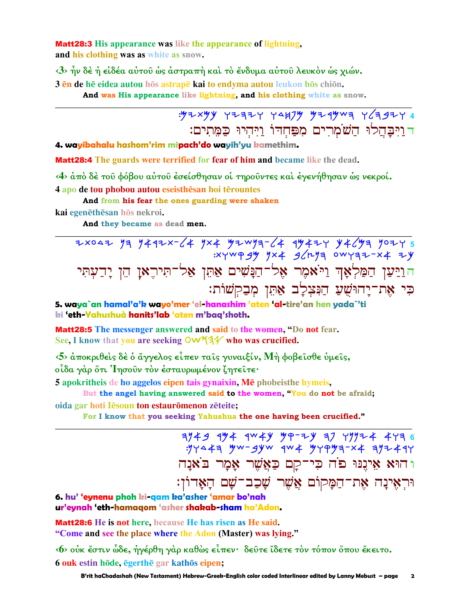**Matt28:3** His appearance was like the appearance of lightning. and his clothing was as white as snow.

 $\langle 3 \rangle$  ήν δέ ή είδέα αύτου ως αστραπή και το ένδυμα αύτου λευκον ως χιών. 3 en de he eidea autou hos astrape kai to endyma autou leukon hos chion.

And was His appearance like lightning, and his clothing white as snow.

# $.972$  xyy  $77777$   $7417$   $9749$   $974$   $1679$   $7277$ דוַיִּבָּהֲלוּ הַשׁמְרִים מִפַּחְדוֹ וַיִּהְיוּ כַּמֵתִים:

4. wayibahalu hashom'rim mipach'do wayih'yu kamethim.

**Matt28:4** The guards were terrified for fear of him and became like the dead.

<4> άπό δέ του φόβου αύτου έσείσθησαν οί τηρουντες και έγενήθησαν ώς νεκροί.

4 apo de tou phobou autou eseisthesan hoi terountes

And from his fear the ones guarding were shaken

kai egenēthēsan hōs nekroi.

And they became as dead men.

2x042 73 7492x-64 7x4 92wya-64 9942y 9469a 702y 5<br>xywpgy 7x4 962ya 0wyaz-x4 zy ה<mark>ויַטַן הַמַּלְאָךְ וַיֹּאמֶר א</mark>ָל<sup>ֹבְ</sup>הַנְּשִׁים אַתֵּן אַל־תִּירֶאַן הֵן יָדַעְתִּי כִּי אֶת־יַחוּשִׁעַ הַנִּצִלַב אַחֵן מִבַקִשׁוֹת:

5. waya`an hamal'a'k wayo'mer 'el-hanashim 'aten 'al-tire'an hen yada`'ti ki 'eth-Yahushuà hanits'lab 'aten m'baq'shoth.

**Matt28:5** The messenger answered and said to the women, "Do not fear, See, I know that you are seeking  $\mathsf{OW44}$  who was crucified.

<5> άποκριθείς δε ο άγγελος είπεν ταις γυναιξίν, Μή φοβεισθε ύμεις, οίδα γάρ ὄτι 'Ιησούν τον έσταυρωμένον ζητείτε·

5 apokritheis de ho aggelos eipen tais gynaixin, Mē phobeisthe hymeis,

But the angel having answered said to the women, "You do not be afraid;

oida gar hoti Iesoun ton estauromenon zeteite;

For I know that you seeking Yahushua the one having been crucified."

 $7149$   $444$   $444$   $447$   $47-7$   $47$   $47-7$   $47-6$  $77447$  yw-gyw qw yyqya-x ayz 49 ו הוּא אֵינֵנוּ פֹה כִּי־קַם כַּאֲשֶׁר אָמָר בֹאַנָה וּרִאֵינָה אַת־הַמַּקוֹם אֲשֵׁר שָׁכַב־שָׁם הָאָדוֹן:

6. hu' 'eynenu phoh ki-gam ka'asher 'amar bo'nah ur'eynah 'eth-hamagom 'asher shakab-sham ha'Adon.

Matt28:6 He is not here, because He has risen as He said. "Come and see the place where the Adon (Master) was lying."

 $\langle 6 \rangle$  ούκ έστιν ώδε, ήγέρθη γάρ καθώς είπεν· δεύτε ίδετε τον τόπον όπου έκειτο. 6 ouk estin hōde, ēgerthē gar kathōs eipen;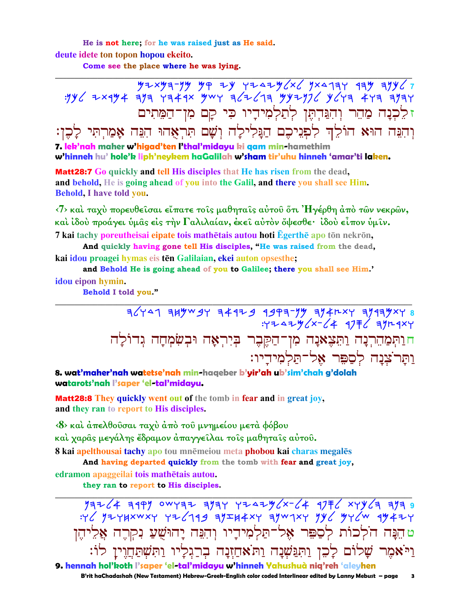He is not here; for he was raised just as He said. deute idete ton topon hopou ekeito.

Come see the place where he was lying.

ז לֵכְנָה מַהֵר וְהִנֵּהִתֵּן לְתַלְמִידָיו כִּי קַם מִן־הַמֵּתִים וְהִנֵּה הוּא הוֹלֵךְ לִפְנֵיכֶם הַנַּלִילֲה וְשָׁם תְּרְאָהוּ הִנֵּה אַמַרְתִּי לַכֵּן: 7. lek'nah maher w'higad'ten l'thal'midayu ki gam min-hamethim w'hinneh hu' hole'k liph'neykem haGalilah w'sham tir'uhu hinneh 'amar'ti laken.

**Matt28:7** Go quickly and tell His disciples that He has risen from the dead, and behold, He is going ahead of you into the Galil, and there you shall see Him. Behold, I have told you.

 $\langle 7 \rangle$  και ταχύ πορευθείσαι είπατε τοίς μαθηταίς αύτου ότι Ήγέρθη άπο των νεκρών, καὶ ἰδοὺ προάγει ὑμᾶς εἰς τὴν Γαλιλαίαν, ἐκεῖ αὐτὸν ὄψεσθε· ἰδοὺ εἶπον ὑμῖν. 7 kai tachy poreutheisai eipate tois mathētais autou hoti Ēgerthē apo tōn nekrōn,

And quickly having gone tell His disciples, "He was raised from the dead, kai idou proagei hymas eis tēn Galilaian, ekei auton opsesthe;

and Behold He is going ahead of you to Galilee; there you shall see Him.' idou eipon hymin.

Behold I told you."

 $\frac{1}{36}$  73413 7341 94179 94179 94179 94179 94179 14419<br>731 145 741 756 4 754 954: חוַתְּמַהֵרְנָה וַתֵּצָאַנָה מִן־הַקֵּבֶר בִּיָרִאָה וּבִשַּׂמְחַה גִדוֹלַה וַתַּרֹצְנָה לְסַפָּר אֶל־תַלִמְידֵיו:

8. wat'maher'nah watetse'nah min-haqeber b'yir'ah ub'sim'chah g'dolah watarots'nah l'saper 'el-tal'midayu.

**Matt28:8** They quickly went out of the tomb in fear and in great joy, and they ran to report to His disciples.

<8> και άπελθούσαι ταχύ άπό του μνημείου μετά φόβου

καὶ χαρᾶς μεγάλης ἔδραμον ἀπαγγεῖλαι τοῖς μαθηταῖς αὐτοῦ.

8 kai apelthousai tachy apo tou mnēmeiou meta phobou kai charas megalēs

And having departed quickly from the tomb with fear and great joy, edramon apaggeilai tois mathētais autou.

they ran to report to His disciples.

 $79724$  3197 0WYAZ 373Y YZAZY<sup>2x-2</sup>4 1772 xyy2a 373 9<br>Y2 72YHXWXY YZ219 37IH4XY 37W1XY 7Y2 7Y2W 174ZY ט הֵנָּה הֹלְכוֹת לְסַפֵּר אֵל־תַּלְמִידָיו וִהְנֵּה יָהוּשָׁעַ נִקְרֵה אֲלֵיהֵן וַיֹּאמֶר שַׁלוֹם לַכֵּן וַתְּגַּשְׁנַה וַתֹּאחַזְנַה בְרַגְלַיו וַתְּשִׁתֲחֲוִין לוֹ: 9. hennah hol'koth l'saper 'el-tal'midayu w'hinneh Yahushuà nig'reh 'aleyhen

B'rit haChadashah (New Testament) Hebrew-Greek-English color coded Interlinear edited by Lanny Mebust - page  $\overline{\mathbf{3}}$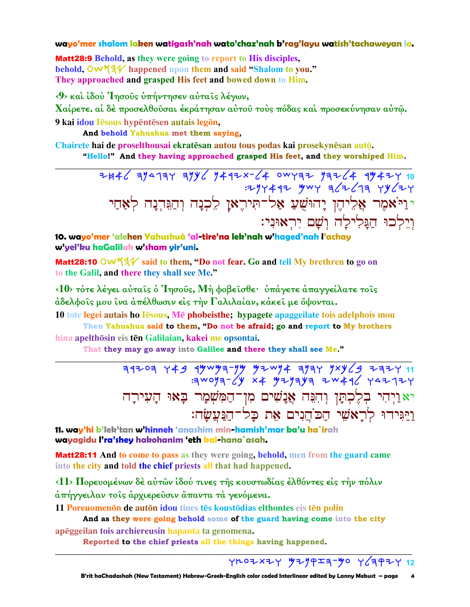#### wayo'mer shalom laken watigash'nah wato'chaz'nah b'rag'layu watish'tachaweyan lo.

**Matt28:9 Behold, as they were going to report to His disciples.** behold,  $\overline{O}W^2$  happened upon them and said "Shalom to you." They approached and grasped His feet and bowed down to Him.

<9> και ίδου 'Iησους υπήντησεν αυταις λέγων,

Χαίρετε. αί δέ προσελθούσαι έκράτησαν αύτου τούς πόδας καί προσεκύνησαν αύτώ. 9 kai idou Iēsous hypēntēsen autais legōn,

And behold Yahushua met them saying,

Chairete hai de proselthousai ekratēsan autou tous podas kai prosekvnēsan autō. "Hello!" And they having approached grasped His feet, and they worshiped Him.

> $7442$  3/4134 3/4 1442x-64 0WY32 13264 94424 10 :294492 ywy g 22 679 44624 יניאמר אַלִיהֶן יָהוּשֻׁעַ אַל־תִּיהֶאָן לֵכְנָה וְהַגִּדְנָה לְאַחַי וְיֵלְכוּ הַגֲלִילָה וְשָׁם יְרִאוּנִי:

10. wayo'mer 'alehen Yahushuà 'al-tire'na lek'nah w'haged'nah l'achay w'yel'ku haGalilah w'sham yir'uni.

Matt28:10 OW534 said to them, "Do not fear. Go and tell My brethren to go on to the Galil, and there they shall see Me."

 $\langle 10 \rangle$  τότε λέγει αύταις ο 'Iησους, Μή φοβεισθε· υπάγετε απαγγείλατε τοις άδελφοΐς μου ΐνα άπέλθωσιν είς την Γαλιλαίαν, κάκει με ὄψονται.

10 tote legei autais ho lesous. Me phobeisthe: hypagete apaggeilate tois adelphois mou Then Yahushua said to them, "Do not be afraid; go and report to My brothers

hina apelthōsin eis tēn Galilaian, kakei me opsontai.

That they may go away into Galilee and there they shall see Me."

יאַוַיִהִי בְלֵכְתַּן וְהִגָּה אֲנָשִׁים מִן־הַמְּשָׁמָר בָּאוּ הָעִירָה וַיַּגִּידוּ לְרַאֹשֵׁי הַכֹּהֵנִים אֵת כַּל־הַנַּעֲשַׂה:

11. way'hi b'lek'tan w'hinneh 'anashim min-hamish'mar ba'u ha`irah wayagidu l'ra'shey hakohanim 'eth kal-hana`asah.

**Matt28:11** And to come to pass as they were going, behold, men from the guard came into the city and told the chief priests all that had happened.

<11> Πορευομένων δέ αύτων ίδού τινες της κουστωδίας έλθόντες είς την πόλιν άπήγγειλαν τοίς άρχιερεύσιν άπαντα τα γενόμενα.

11 Poreuomenon de auton idou tines tes koustodias elthontes eis ten polin

And as they were going behold some of the guard having come into the city apēggeilan tois archiereusin hapanta ta genomena.

Reported to the chief priests all the things having happened.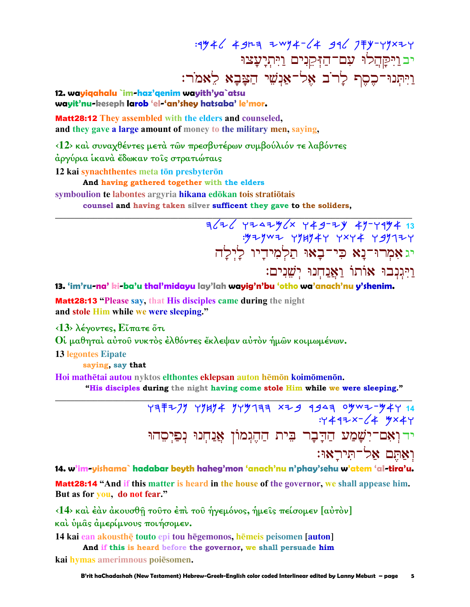: 1946 4923 2 2 4 4 4 4 5 7 7 4 4 4 4 4 4 4 5 4 6 7 7 8 4 4 4 4 5 4 7 7 8 4 4 4 4 5 4 7 7 8 4 4 4 4 4 5 4 7 8 4 יב וַיִּקַהֲלוּ עִם־הַזִּקֵנִים וַיִּתְיָעָצוּ וַיִּתְנוּ־כֶסֶת לָרֹב אֶל־אַנִשֵׁי הַצַּבַא לָאמֹר:

12. wayiqahalu `im-haz'qenim wayith'ya`atsu wayit'nu-keseph larob 'el-'an'shey hatsaba' le'mor.

**Matt28:12** They assembled with the elders and counseled, and they gave a large amount of money to the military men, saying,

<12> και συναχθέντες μετά των πρεσβυτέρων συμβούλιόν τε λαβόντες

άργύρια ίκανά έδωκαν το ις στρατιώταις

12 kai synachthentes meta tōn presbyterōn

And having gathered together with the elders

symboulion te labontes argyria hikana edōkan tois stratiōtais

counsel and having taken silver sufficent they gave to the soliders,

 $7/7$   $\frac{1}{4}$   $\frac{1}{4}$   $\frac{1}{4}$   $\frac{1}{4}$   $\frac{1}{4}$   $\frac{1}{4}$   $\frac{1}{4}$   $\frac{1}{4}$   $\frac{1}{4}$   $\frac{1}{4}$   $\frac{1}{4}$   $\frac{1}{4}$   $\frac{1}{4}$   $\frac{1}{4}$   $\frac{1}{4}$   $\frac{1}{4}$   $\frac{1}{4}$   $\frac{1}{4}$   $\frac{1}{4}$   $\frac{1}{4}$   $\frac{1}{4}$   $\frac{1$ : y + y w + y y y + y x y + y y y y + y יגאָמְרוּ־נָא כִי־בָאוּ תַלְמִידַיו לַיִלַה וַיִּגְנִבוּ אוֹתוֹ וַאֲנַחִנוּ יִשְׁנִים:

13. 'im'ru-na' ki-ba'u thal'midayu lay'lah wayig'n'bu 'otho wa'anach'nu y'shenim.

**Matt28:13 "Please say, that His disciples came during the night** and stole Him while we were sleeping."

 $\langle 13 \rangle$  λέγοντες, Εἴπατε ὅτι

Οι μαθηται αύτου νυκτός έλθόντες έκλεψαν αύτον ήμων κοιμωμένων.

**13 legontes Eipate** 

saying, say that

Hoi mathētai autou nyktos elthontes eklepsan auton hēmōn koimōmenōn.

"His disciples during the night having come stole Him while we were sleeping."

 $797727$   $77474$   $7779797$   $8729$   $9949$   $9907 - 447$   $14$  $.4447x - 14$   $4x + 4$ יד וְאָם־יִשָׁמַע הַדָּבָר בִית הַהֶגִמוֹן אֲנַחִנוּ נִפַּיִסְהוּ ואתם אל־תיראו:

14. w'im-yishama` hadabar beyth haheg'mon 'anach'nu n'phay'sehu w'atem 'al-tira'u. Matt28:14 "And if this matter is heard in the house of the governor, we shall appease him. But as for you, do not fear."

<14> και έαν ακουσθή τούτο έπι του ήγεμόνος, ήμεις πείσομεν [αύτον] και υμας αμερίμνους ποιήσομεν.

14 kai ean akousthe touto epi tou hegemonos, hemeis peisomen [auton] And if this is heard before the governor, we shall persuade him

kai hymas amerimnous poiesomen.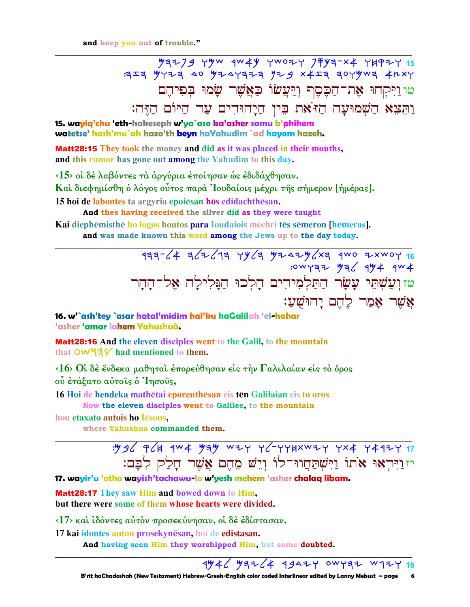## $7779$  yyw  $4w4y$  ywozy  $77y4-x4$  yupzy 15  $3777$  427 40 4247727 424 4257 4279 4284 טוּוַיִּקְחוּ אֶת־הַכֶּסֶף וְיַּעֲשׂוֹ כַּאֲשֶׁר שָׂמוּ בִפִיהֵם וַתְּצֵא הַשָּׁמוּעָה הַז<sup>ּ</sup>את בִּין הַיָּהוּדִים עַד הַיּוֹם הַזֶּה:

15. wayiq'chu 'eth-hakeseph w'ya`aso ka'asher samu b'phihem watetse' hash'mu`ah hazo'th beyn haYahudim `ad hayom hazeh.

**Matt28:15** They took the money and did as it was placed in their mouths, and this rumor has gone out among the Yahudim to this day.

<15> οι δέ λαβόντες τα αργύρια εποίησαν ως εδιδάχθησαν.

Και διεφημίσθη ο λόγος ούτος παρά 'Ιουδαίοις μέχρι της σήμερον [ήμέρας].

15 hoi de labontes ta argyria epoiesan hos edidachthesan.

And thes having received the silver did as they were taught

Kai diephēmisthē ho logos houtos para Ioudaiois mechri tēs sēmeron [hēmeras].

and was made known this word among the Jews up to the day today.

טזוִעֲשָׁתֵל עֲשָׂר הַתַּלְמִידִים הָלְכוּ הַגֲלִילָה אֵל־הָהָר אֲשֶׁר אָמַר לַהֵם יַהוּשִׁעַ:

16. w'`ash'tey `asar hatal'midim hal'ku haGalilah 'el-hahar 'asher 'amar lahem Yahushuà.

Matt28:16 And the eleven disciples went to the Galil, to the mountain that  $\mathsf{OW44V}$  had mentioned to them.

<16> Οί δέ ένδεκα μαθηταί έπορεύθησαν είς την Γαλιλαίαν είς το όρος ού έτάξατο αύτοις ο Ίησους,

16 Hoi de hendeka mathētai eporeuthēsan eis tēn Galilaian eis to oros Now the eleven disciples went to Galilee, to the mountain

hou etaxato autois ho Iesous,

where Yahushua commanded them.

יזוַיִּרְאוּ אֹתוֹ וַיִּשְׁתַּחֲווּ־לוֹ וְיֵשׁ מֵהֶם אֲשֶׁר חָלַק לְבָם:

17. wayir'u 'otho wayish'tachawu-lo w'yesh mehem 'asher chalaq libam.

**Matt28:17** They saw Him and bowed down to Him. but there were some of them whose hearts were divided.

 $\langle 17 \rangle$  και ιδόντες αυτόν προσεκύνησαν, οι δε εδίστασαν.

17 kai idontes auton prosekynēsan, hoi de edistasan.

And having seen Him they worshipped Him, but some doubted.

### $1446$   $93764$   $13947$  owyaz w174 18

B'rit haChadashah (New Testament) Hebrew-Greek-English color coded Interlinear edited by Lanny Mebust - page 6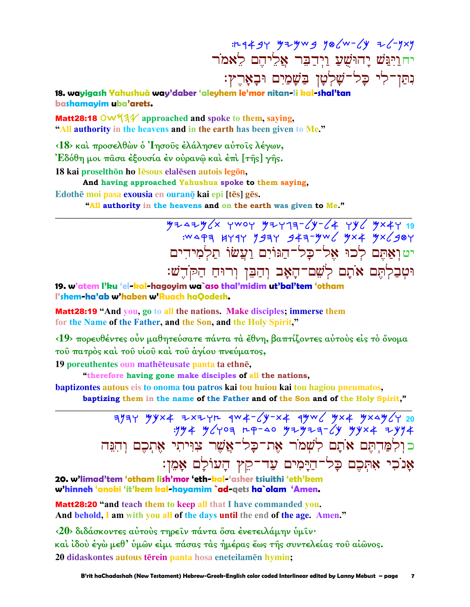$11-4494$   $4749$   $986$   $-492$   $12-929$ יח<u>ויִ</u>ּבּשׁ יָהוּשָׁעַ וַיִּדַבֶּר אֲלֵיהֶם לֵאמֹר נִתַּן־לִי כַל־שַׁלְטַן בַּשַׁמַיִם וּבַאֲרֵץ:

18. wayigash Yahushuà way'daber 'aleyhem le'mor nitan-li kal-shal'tan bashamavim uba'arets.

**Matt28:18 OW**  $4\frac{1}{4}$  approached and spoke to them, saying, "All authority in the heavens and in the earth has been given to Me."

<18> και προσελθών ο 'Ιησούς έλάλησεν αύτοις λέγων, 'Εδόθη μοι πασα έξουσία έν ούραν<u>ω και έπι [τής]</u> γής. 18 kai proselthōn ho lēsous elalēsen autois legōn,

And having approached Yahushua spoke to them saying, Edothe moi pasa exousia en ourano kai epi [tēs] gẽs.

"All authority in the heavens and on the earth was given to Me."

 $472474666$  ywor yaring-64 yy6 yx4y 19 :WAPA HYAY Y9AY 94A-YW YX4 YX /98Y יטואָתִם לכוּ אל־כַל־הַגּוֹיִם וַעֲשׂוֹ תַלמידים וּטִבַלְתֵּם אֹתָם לְשֵׁם־הָאָב וִהַבֵּן וִרוּחַ הַקֹּדֵשׁ:

19. w'atem l'ku 'el-kal-hagoyim wa`aso thal'midim ut'bal'tem 'otham l'shem-ha'ab w'haben w'Ruach haQodesh.

Matt28:19 "And you, go to all the nations. Make disciples; immerse them for the Name of the Father, and the Son, and the Holy Spirit,"

<19> πορευθέντες ούν μαθητεύσατε πάντα τα έθνη, βαπτίζοντες αύτους είς το όνομα του πατρός καί του νίου καί του άγίου πνεύματος,

19 poreuthentes oun mathéteusate panta ta ethné,

"therefore having gone make disciples of all the nations,

baptizontes autous eis to onoma tou patros kai tou huiou kai tou hagiou pneumatos,

baptizing them in the name of the Father and of the Son and of the Holy Spirit,"

 $\frac{1}{3}$  = 1944 x + 3 x + 4 y + 4 y + 4 y + 4 y + 4 y + 4 y + 4 y + 4 y + 4 y + 4 y + 4 y + 4 y + 4 y + 4 y + 4 y + 4 y + 4 y + 4 y + 4 y + 4 y + 4 y + 4 y + 4 y + 4 y + 4 y + 4 y + 4 y + 4 y + 4 y + 4 y + 4 y + 4 y + 4 כולמַרְתֵּם אֹתָם לְשָׁמֹר אֶת־כָּל־אֲשֶׁר צִוִּיתִי אֶתְכֶם וְהִנֵּה אָנֹכִי אִתְּכֶם כָּל־הַיָּמִים עַד־קֵץ הָעוֹלָם אָמֵן:

20. w'limad'tem 'otham lish'mor 'eth-kal-'asher tsiuithi 'eth'kem w'hinneh 'anoki 'it'kem kal-hayamim `ad-qets ha`olam 'Amen.

**Matt28:20 "and teach them to keep all that I have commanded you.** And behold, I am with you all of the days until the end of the age. Amen."

<20> διδάσκοντες αύτους τηρείν πάντα όσα ένετειλάμην υμίν· καὶ ἰδοὺ ἐγὼ μεθ' ὑμῶν εἰμι πάσας τὰς ἡμέρας ἔως τῆς συντελείας τοῦ αἰῶνος. 20 didaskontes autous tērein panta hosa eneteilamēn hymin;